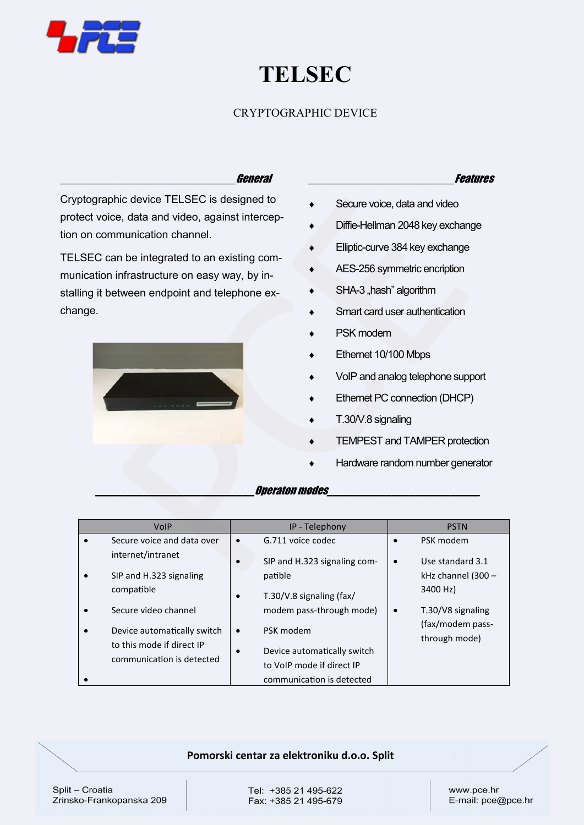

change.

# **TELSEC**

## CRYPTOGRAPHIC DEVICE

### \_\_\_\_\_\_\_\_\_\_\_\_\_\_\_\_\_\_\_\_\_\_\_\_\_\_\_\_\_\_\_\_\_\_\_\_General

Cryptographic device TELSEC is designed to protect voice, data and video, against intercep-

TELSEC can be integrated to an existing communication infrastructure on easy way, by installing it between endpoint and telephone ex-

tion on communication channel.

#### \_\_\_\_\_\_\_\_\_\_\_\_\_\_\_\_\_\_\_\_\_\_\_\_\_\_\_\_\_\_Features

- Secure voice, data and video
	- $\bullet$  Diffie-Hellman 2048 key exchange
	- **Elliptic-curve 384 key exchange**
	- AES-256 symmetric encription
	- $\bullet$  SHA-3 "hash" algorithm
	- Smart card user authentication
	- PSK modem
	- Ethernet 10/100 Mbps
	- VoIP and analog telephone support
	- Ethernet PC connection (DHCP)
	- T.30/V.8 signaling
	- TEMPEST and TAMPER protection
	- Hardware random number generator

## **\_\_\_\_\_\_\_\_\_\_\_\_\_\_\_\_\_\_\_\_\_\_\_\_\_\_\_**Operaton modes**\_\_\_\_\_\_\_\_\_\_\_\_\_\_\_\_\_\_\_\_\_\_\_\_\_\_**

| VolP                        | IP - Telephony                            |           | <b>PSTN</b>                       |
|-----------------------------|-------------------------------------------|-----------|-----------------------------------|
| Secure voice and data over  | G.711 voice codec<br>$\bullet$            | $\bullet$ | PSK modem                         |
| internet/intranet           | SIP and H.323 signaling com-<br>$\bullet$ | $\bullet$ | Use standard 3.1                  |
| SIP and H.323 signaling     | patible                                   |           | kHz channel (300 -                |
| compatible                  | T.30/V.8 signaling $\frac{f}{dx}$<br>٠    |           | 3400 Hz)                          |
| Secure video channel        | modem pass-through mode)                  | $\bullet$ | T.30/V8 signaling                 |
| Device automatically switch | PSK modem<br>$\bullet$                    |           | (fax/modem pass-<br>through mode) |
| to this mode if direct IP   | Device automatically switch<br>$\bullet$  |           |                                   |
| communication is detected   | to VoIP mode if direct IP                 |           |                                   |
|                             | communication is detected                 |           |                                   |

#### **Pomorski centar za elektroniku d.o.o. Split**

Split - Croatia Zrinsko-Frankopanska 209 Tel: +385 21 495-622 Fax: +385 21 495-679 www.pce.hr E-mail: pce@pce.hr